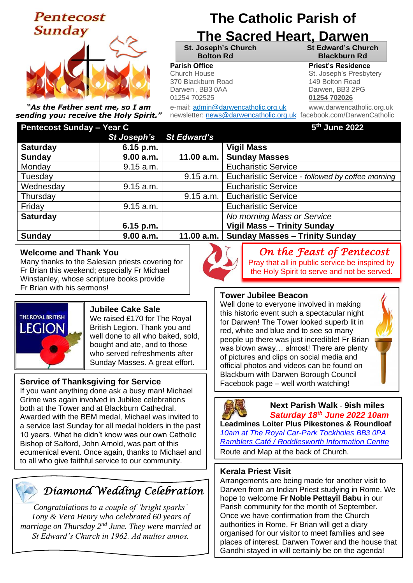# **Pentecost Sunday**



*"As the Father sent me, so I am sending you: receive the Holy Spirit."*

### **Pentecost Sunday – Year C**

# **The Catholic Parish of**

# **The Sacred Heart, Darwen**

**St. Joseph's Church St Edward's Church Bolton Rd Blackburn Rd**

#### **Parish Office Parish Office Priest's Residence**

Church House **Realist Friest Contact St. Joseph's Presbytery** 370 Blackburn Road 149 Bolton Road Darwen , BB3 0AA Darwen, BB3 2PG 01254 702525 **01254 702026**

e-mail: admin@darwencatholic.org.uk www.darwencatholic.org.uk newsletter: [news@darwencatholic.org.uk](mailto:news@darwencatholic.org.uk) facebook.com/DarwenCatholic

#### **th June 2022**

| . .             | St Joseph's | <b>St Edward's</b> |                                                  |
|-----------------|-------------|--------------------|--------------------------------------------------|
| <b>Saturday</b> | $6.15$ p.m. |                    | <b>Vigil Mass</b>                                |
| <b>Sunday</b>   | 9.00 a.m.   | 11.00 a.m.         | <b>Sunday Masses</b>                             |
| Monday          | 9.15 a.m.   |                    | <b>Eucharistic Service</b>                       |
| Tuesday         |             | 9.15 a.m.          | Eucharistic Service - followed by coffee morning |
| Wednesday       | 9.15 a.m.   |                    | <b>Eucharistic Service</b>                       |
| Thursday        |             | 9.15 a.m.          | <b>Eucharistic Service</b>                       |
| Friday          | 9.15 a.m.   |                    | <b>Eucharistic Service</b>                       |
| <b>Saturday</b> |             |                    | No morning Mass or Service                       |
|                 | $6.15$ p.m. |                    | <b>Vigil Mass - Trinity Sunday</b>               |
| <b>Sunday</b>   | 9.00 a.m.   | 11.00 a.m.         | <b>Sunday Masses - Trinity Sunday</b>            |

#### **Welcome and Thank You**

Many thanks to the Salesian priests covering for Fr Brian this weekend; especially Fr Michael Winstanley, whose scripture books provide Fr Brian with his sermons!



#### **Jubilee Cake Sale**

We raised £170 for The Royal British Legion. Thank you and well done to all who baked, sold, bought and ate, and to those who served refreshments after Sunday Masses. A great effort.

#### **Service of Thanksgiving for Service**

If you want anything done ask a busy man! Michael Grime was again involved in Jubilee celebrations both at the Tower and at Blackburn Cathedral. Awarded with the BEM medal, Michael was invited to a service last Sunday for all medal holders in the past 10 years. What he didn't know was our own Catholic Bishop of Salford, John Arnold, was part of this ecumenical event. Once again, thanks to Michael and to all who give faithful service to our community.

## *Diamond Wedding Celebration*

*Congratulations to a couple of 'bright sparks' Tony & Vera Henry who celebrated 60 years of marriage on Thursday 2nd June. They were married at St Edward's Church in 1962. Ad multos annos.*



*On the Feast of Pentecost* 

Pray that all in public service be inspired by the Holy Spirit to serve and not be served.

#### **Tower Jubilee Beacon**

Well done to everyone involved in making this historic event such a spectacular night for Darwen! The Tower looked superb lit in red, white and blue and to see so many people up there was just incredible! Fr Brian was blown away… almost! There are plenty of pictures and clips on social media and official photos and videos can be found on Blackburn with Darwen Borough Council Facebook page – well worth watching!



#### **Next Parish Walk** - **9ish miles** *Saturday 18th June 2022 10am*

**Leadmines Loiter Plus Pikestones & Roundloaf** *10am at The Royal Car-Park Tockholes BB3 0PA Ramblers Café / Roddlesworth Information Centre* Route and Map at the back of Church.

#### **Kerala Priest Visit**

Arrangements are being made for another visit to Darwen from an Indian Priest studying in Rome. We hope to welcome **Fr Noble Pettayil Babu** in our Parish community for the month of September. Once we have confirmation from the Church authorities in Rome, Fr Brian will get a diary organised for our visitor to meet families and see places of interest. Darwen Tower and the house that Gandhi stayed in will certainly be on the agenda!